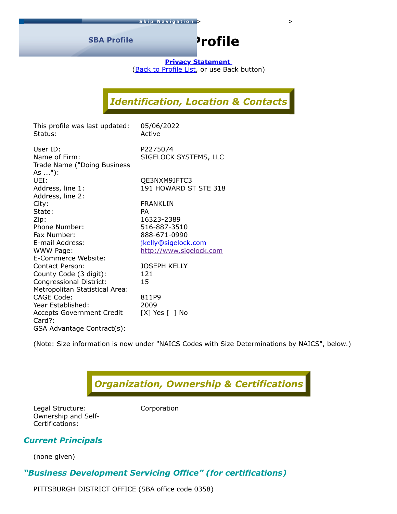**SBA Profile**

# **Profile**

**[Privacy Statement](https://www.sba.gov/privacysecurity/index.html)** (**Back to [Profile](javascript:window.history.go(-1);) List**, or use Back button)

# *Identification, Location & Contacts*

| This profile was last updated:<br>Status: | 05/06/2022<br>Active    |
|-------------------------------------------|-------------------------|
| User ID:                                  | P2275074                |
| Name of Firm:                             | SIGELOCK SYSTEMS, LLC   |
| Trade Name ("Doing Business<br>As "):     |                         |
| UEI:                                      | QE3NXM9JFTC3            |
| Address, line 1:                          | 191 HOWARD ST STE 318   |
| Address, line 2:                          |                         |
| City:                                     | FRANKLIN                |
| State:                                    | <b>PA</b>               |
| Zip:                                      | 16323-2389              |
| Phone Number:                             | 516-887-3510            |
| Fax Number:                               | 888-671-0990            |
| E-mail Address:                           | jkelly@sigelock.com     |
| WWW Page:                                 | http://www.sigelock.com |
| E-Commerce Website:                       |                         |
| Contact Person:                           | <b>JOSEPH KELLY</b>     |
| County Code (3 digit):                    | 121                     |
| Congressional District:                   | 15                      |
| Metropolitan Statistical Area:            |                         |
| <b>CAGE Code:</b>                         | 811P9                   |
| Year Established:                         | 2009                    |
| <b>Accepts Government Credit</b>          | [X] Yes [ ] No          |
| Card?:                                    |                         |
| GSA Advantage Contract(s):                |                         |

(Note: Size information is now under "NAICS Codes with Size Determinations by NAICS", below.)



Legal Structure: Corporation Ownership and Self-Certifications:

#### *Current Principals*

(none given)

# *"Business Development Servicing Office" (for certifications)*

PITTSBURGH DISTRICT OFFICE (SBA office code 0358)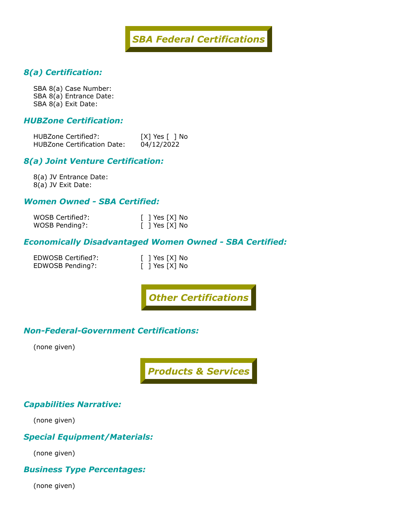

## *8(a) Certification:*

SBA 8(a) Case Number: SBA 8(a) Entrance Date: SBA 8(a) Exit Date:

#### *HUBZone Certification:*

HUBZone Certified?: [X] Yes [ ] No HUBZone Certification Date: 04/12/2022

#### *8(a) Joint Venture Certification:*

8(a) JV Entrance Date: 8(a) JV Exit Date:

#### *Women Owned - SBA Certified:*

| WOSB Certified?: | $\lceil$   Yes $\lceil X \rceil$ No |
|------------------|-------------------------------------|
| WOSB Pending?:   | $\lceil$   Yes $\lceil X \rceil$ No |

#### *Economically Disadvantaged Women Owned - SBA Certified:*

EDWOSB Certified?: EDWOSB Pending?:

| L | ] Yes [X] No |  |
|---|--------------|--|
|   | ] Yes [X] No |  |

*Other Certifications*

#### *Non-Federal-Government Certifications:*

(none given)

*Products & Services*

#### *Capabilities Narrative:*

(none given)

#### *Special Equipment/Materials:*

(none given)

#### *Business Type Percentages:*

(none given)